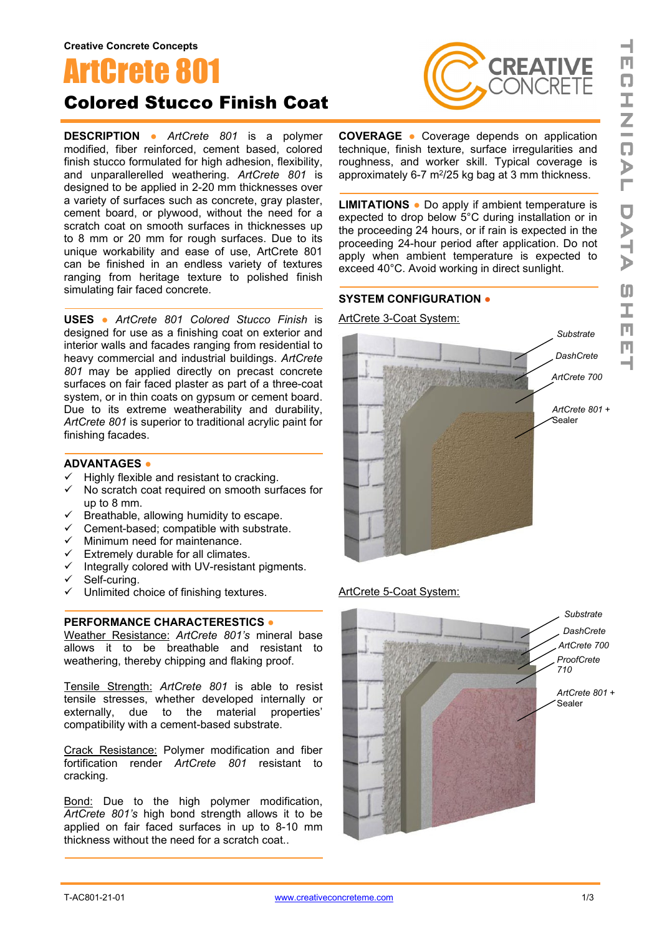# **ArtCrete 80<sup>®</sup>**

# Colored Stucco Finish Coat

**DESCRIPTION ●** *ArtCrete 801* is a polymer modified, fiber reinforced, cement based, colored finish stucco formulated for high adhesion, flexibility, and unparallerelled weathering. *ArtCrete 801* is designed to be applied in 2-20 mm thicknesses over a variety of surfaces such as concrete, gray plaster, cement board, or plywood, without the need for a scratch coat on smooth surfaces in thicknesses up to 8 mm or 20 mm for rough surfaces. Due to its unique workability and ease of use, ArtCrete 801 can be finished in an endless variety of textures ranging from heritage texture to polished finish simulating fair faced concrete.

**USES ●** *ArtCrete 801 Colored Stucco Finish* is designed for use as a finishing coat on exterior and interior walls and facades ranging from residential to heavy commercial and industrial buildings. *ArtCrete 801* may be applied directly on precast concrete surfaces on fair faced plaster as part of a three-coat system, or in thin coats on gypsum or cement board. Due to its extreme weatherability and durability. *ArtCrete 801* is superior to traditional acrylic paint for finishing facades.

#### **ADVANTAGES ●**

- $\checkmark$  Highly flexible and resistant to cracking.
- $\checkmark$  No scratch coat required on smooth surfaces for up to 8 mm.
- $\checkmark$  Breathable, allowing humidity to escape.
- $\checkmark$  Cement-based; compatible with substrate.
- $\checkmark$  Minimum need for maintenance.
- $\checkmark$  Extremely durable for all climates.
- ↓ Externery decade on the natural contract of the control of the state of the state of the state of the state of the state of the state of the state of the state of the state of the state of the state of the state of the
- $\checkmark$  Self-curing.
- $\checkmark$  Unlimited choice of finishing textures.

#### **PERFORMANCE CHARACTERESTICS ●**

Weather Resistance: *ArtCrete 801's* mineral base allows it to be breathable and resistant to weathering, thereby chipping and flaking proof.

Tensile Strength: *ArtCrete 801* is able to resist tensile stresses, whether developed internally or externally, due to the material properties' compatibility with a cement-based substrate.

Crack Resistance: Polymer modification and fiber fortification render *ArtCrete 801* resistant to cracking.

Bond: Due to the high polymer modification, *ArtCrete 801's* high bond strength allows it to be applied on fair faced surfaces in up to 8-10 mm thickness without the need for a scratch coat..



**COVERAGE ●** Coverage depends on application technique, finish texture, surface irregularities and roughness, and worker skill. Typical coverage is approximately 6-7  $m^2/25$  kg bag at 3 mm thickness.

**LIMITATIONS ●** Do apply if ambient temperature is expected to drop below 5°C during installation or in the proceeding 24 hours, or if rain is expected in the proceeding 24-hour period after application. Do not apply when ambient temperature is expected to exceed 40°C. Avoid working in direct sunlight.

#### **SYSTEM CONFIGURATION ●**

ArtCrete 3-Coat System:



#### ArtCrete 5-Coat System:

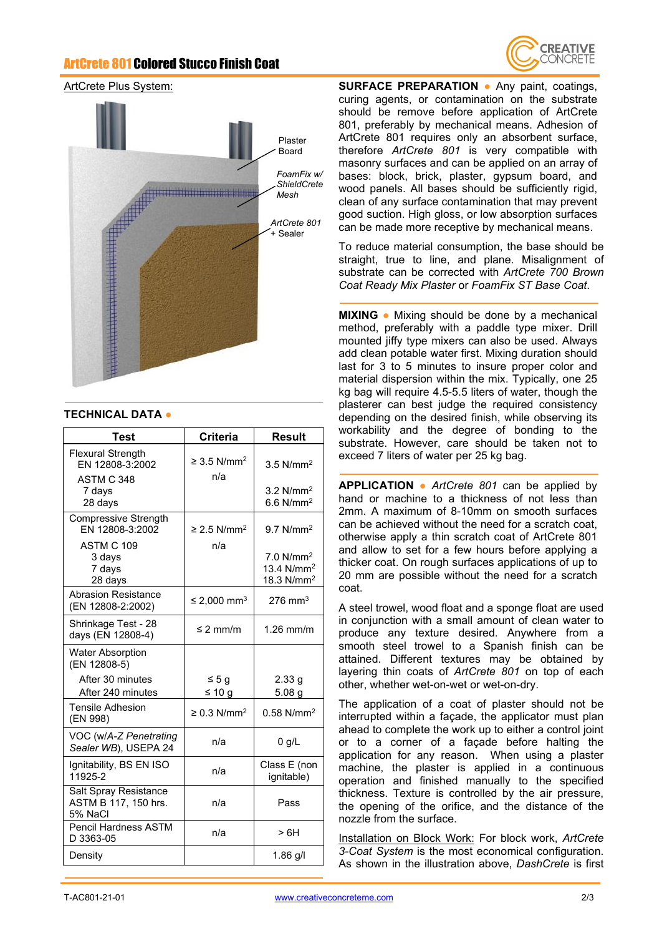## ArtCrete 801 Colored Stucco Finish Coat



#### ArtCrete Plus System:



#### **TECHNICAL DATA ●**

| Test                                                      | Criteria                            | <b>Result</b>                                                    |
|-----------------------------------------------------------|-------------------------------------|------------------------------------------------------------------|
| <b>Flexural Strength</b><br>EN 12808-3:2002<br>ASTM C 348 | $\geq$ 3.5 N/mm <sup>2</sup><br>n/a | 3.5 $N/mm^2$                                                     |
| 7 days<br>28 days                                         |                                     | $3.2$ N/mm <sup>2</sup><br>$6.6$ N/mm <sup>2</sup>               |
| Compressive Strength<br>EN 12808-3:2002                   | $\geq$ 2.5 N/mm <sup>2</sup>        | $9.7$ N/mm <sup>2</sup>                                          |
| ASTM C 109<br>3 days<br>7 days<br>28 days                 | n/a                                 | 7.0 N/mm <sup>2</sup><br>13.4 N/mm <sup>2</sup><br>18.3 $N/mm^2$ |
| Abrasion Resistance<br>(EN 12808-2:2002)                  | ≤ 2,000 mm <sup>3</sup>             | $276$ mm <sup>3</sup>                                            |
| Shrinkage Test - 28<br>days (EN 12808-4)                  | $\leq$ 2 mm/m                       | $1.26$ mm/m                                                      |
| <b>Water Absorption</b><br>(EN 12808-5)                   |                                     |                                                                  |
| After 30 minutes<br>After 240 minutes                     | ≤ 5 g<br>≤ 10 g                     | 2.33 g<br>5.08 <sub>g</sub>                                      |
| <b>Tensile Adhesion</b><br>(EN 998)                       | $\geq$ 0.3 N/mm <sup>2</sup>        | $0.58$ N/mm <sup>2</sup>                                         |
| VOC (w/A-Z Penetrating<br>Sealer WB), USEPA 24            | n/a                                 | $0$ g/L                                                          |
| Ignitability, BS EN ISO<br>11925-2                        | n/a                                 | Class E (non<br>ignitable)                                       |
| Salt Spray Resistance<br>ASTM B 117, 150 hrs.<br>5% NaCl  | n/a                                 | Pass                                                             |
| <b>Pencil Hardness ASTM</b><br>D 3363-05                  | n/a                                 | >6H                                                              |
| Density                                                   |                                     | $1.86$ g/l                                                       |

**SURFACE PREPARATION ●** Any paint, coatings, curing agents, or contamination on the substrate should be remove before application of ArtCrete 801, preferably by mechanical means. Adhesion of ArtCrete 801 requires only an absorbent surface, therefore *ArtCrete 801* is very compatible with masonry surfaces and can be applied on an array of bases: block, brick, plaster, gypsum board, and wood panels. All bases should be sufficiently rigid, clean of any surface contamination that may prevent good suction. High gloss, or low absorption surfaces can be made more receptive by mechanical means.

To reduce material consumption, the base should be straight, true to line, and plane. Misalignment of substrate can be corrected with *ArtCrete 700 Brown Coat Ready Mix Plaster* or *FoamFix ST Base Coat*.

**MIXING •** Mixing should be done by a mechanical method, preferably with a paddle type mixer. Drill mounted jiffy type mixers can also be used. Always add clean potable water first. Mixing duration should last for 3 to 5 minutes to insure proper color and material dispersion within the mix. Typically, one 25 kg bag will require 4.5-5.5 liters of water, though the plasterer can best judge the required consistency depending on the desired finish, while observing its workability and the degree of bonding to the substrate. However, care should be taken not to exceed 7 liters of water per 25 kg bag.

**APPLICATION ●** *ArtCrete 801* can be applied by hand or machine to a thickness of not less than 2mm. A maximum of 8-10mm on smooth surfaces can be achieved without the need for a scratch coat, otherwise apply a thin scratch coat of ArtCrete 801 and allow to set for a few hours before applying a thicker coat. On rough surfaces applications of up to 20 mm are possible without the need for a scratch coat.

A steel trowel, wood float and a sponge float are used in conjunction with a small amount of clean water to produce any texture desired. Anywhere from a smooth steel trowel to a Spanish finish can be attained. Different textures may be obtained by layering thin coats of *ArtCrete 801* on top of each other, whether wet-on-wet or wet-on-dry.

The application of a coat of plaster should not be interrupted within a façade, the applicator must plan ahead to complete the work up to either a control joint or to a corner of a façade before halting the application for any reason. When using a plaster machine, the plaster is applied in a continuous operation and finished manually to the specified thickness. Texture is controlled by the air pressure, the opening of the orifice, and the distance of the nozzle from the surface.

Installation on Block Work: For block work, *ArtCrete 3-Coat System* is the most economical configuration. As shown in the illustration above, *DashCrete* is first